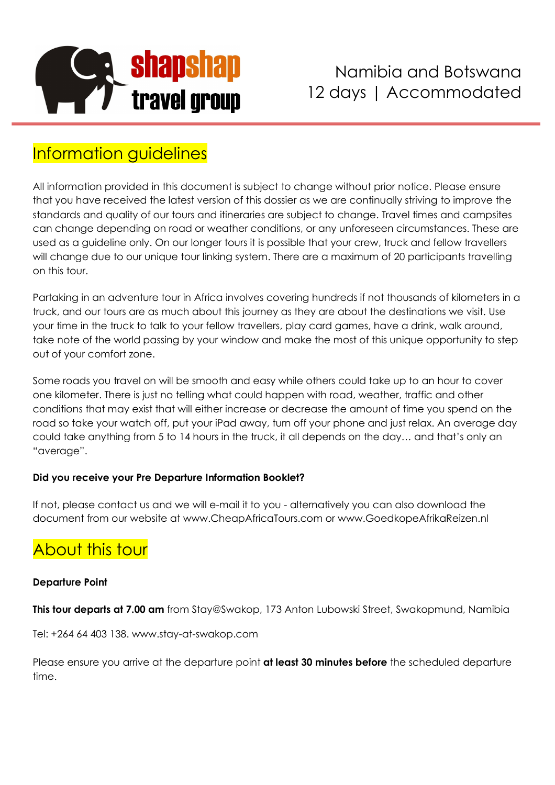

### Information guidelines

All information provided in this document is subject to change without prior notice. Please ensure that you have received the latest version of this dossier as we are continually striving to improve the standards and quality of our tours and itineraries are subject to change. Travel times and campsites can change depending on road or weather conditions, or any unforeseen circumstances. These are used as a guideline only. On our longer tours it is possible that your crew, truck and fellow travellers will change due to our unique tour linking system. There are a maximum of 20 participants travelling on this tour.

Partaking in an adventure tour in Africa involves covering hundreds if not thousands of kilometers in a truck, and our tours are as much about this journey as they are about the destinations we visit. Use your time in the truck to talk to your fellow travellers, play card games, have a drink, walk around, take note of the world passing by your window and make the most of this unique opportunity to step out of your comfort zone.

Some roads you travel on will be smooth and easy while others could take up to an hour to cover one kilometer. There is just no telling what could happen with road, weather, traffic and other conditions that may exist that will either increase or decrease the amount of time you spend on the road so take your watch off, put your iPad away, turn off your phone and just relax. An average day could take anything from 5 to 14 hours in the truck, it all depends on the day… and that's only an "average".

#### **Did you receive your Pre Departure Information Booklet?**

If not, please contact us and we will e-mail it to you - alternatively you can also download the document from our website at www.CheapAfricaTours.com or www.GoedkopeAfrikaReizen.nl

# About this tour

#### **Departure Point**

**This tour departs at 7.00 am** from Stay@Swakop, 173 Anton Lubowski Street, Swakopmund, Namibia

Tel: +264 64 403 138. www.stay-at-swakop.com

Please ensure you arrive at the departure point **at least 30 minutes before** the scheduled departure time.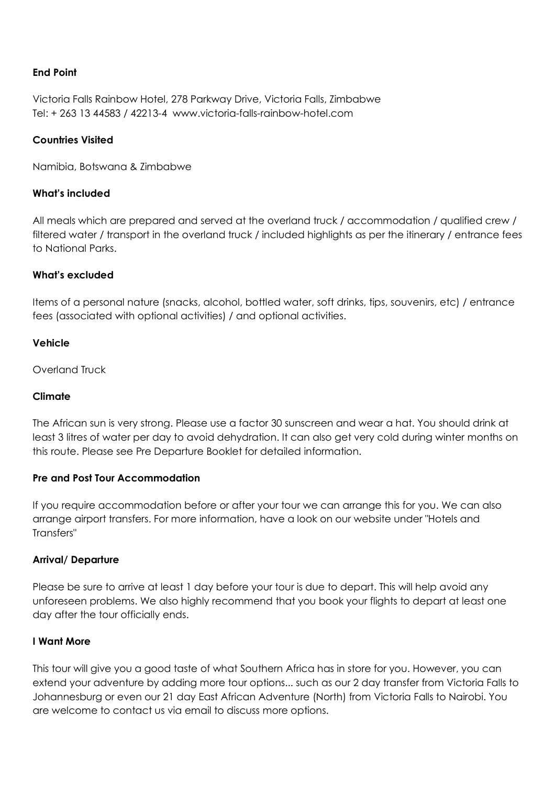#### **End Point**

Victoria Falls Rainbow Hotel, 278 Parkway Drive, Victoria Falls, Zimbabwe Tel: + 263 13 44583 / 42213-4 www.victoria-falls-rainbow-hotel.com

#### **Countries Visited**

Namibia, Botswana & Zimbabwe

#### **What's included**

All meals which are prepared and served at the overland truck / accommodation / qualified crew / filtered water / transport in the overland truck / included highlights as per the itinerary / entrance fees to National Parks.

#### **What's excluded**

Items of a personal nature (snacks, alcohol, bottled water, soft drinks, tips, souvenirs, etc) / entrance fees (associated with optional activities) / and optional activities.

#### **Vehicle**

Overland Truck

#### **Climate**

The African sun is very strong. Please use a factor 30 sunscreen and wear a hat. You should drink at least 3 litres of water per day to avoid dehydration. It can also get very cold during winter months on this route. Please see Pre Departure Booklet for detailed information.

#### **Pre and Post Tour Accommodation**

If you require accommodation before or after your tour we can arrange this for you. We can also arrange airport transfers. For more information, have a look on our website under "Hotels and Transfers"

#### **Arrival/ Departure**

Please be sure to arrive at least 1 day before your tour is due to depart. This will help avoid any unforeseen problems. We also highly recommend that you book your flights to depart at least one day after the tour officially ends.

#### **I Want More**

This tour will give you a good taste of what Southern Africa has in store for you. However, you can extend your adventure by adding more tour options... such as our 2 day transfer from Victoria Falls to Johannesburg or even our 21 day East African Adventure (North) from Victoria Falls to Nairobi. You are welcome to contact us via email to discuss more options.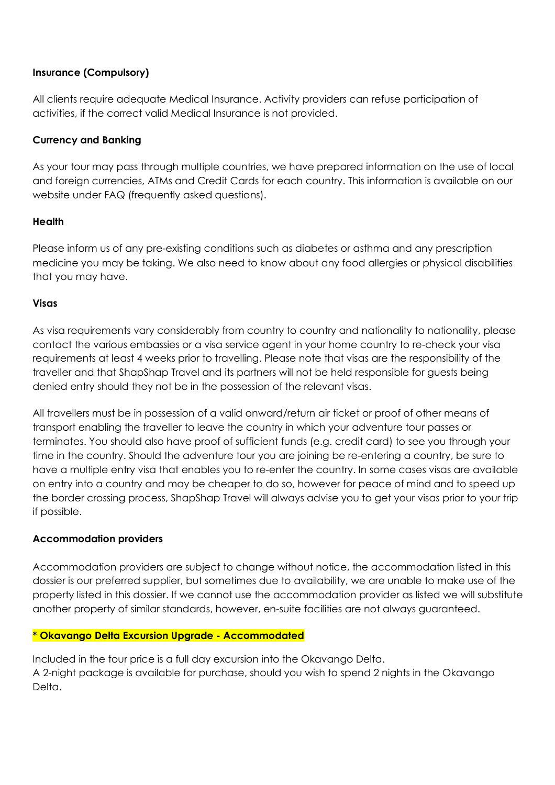#### **Insurance (Compulsory)**

All clients require adequate Medical Insurance. Activity providers can refuse participation of activities, if the correct valid Medical Insurance is not provided.

#### **Currency and Banking**

As your tour may pass through multiple countries, we have prepared information on the use of local and foreign currencies, ATMs and Credit Cards for each country. This information is available on our website under FAQ (frequently asked questions).

#### **Health**

Please inform us of any pre-existing conditions such as diabetes or asthma and any prescription medicine you may be taking. We also need to know about any food allergies or physical disabilities that you may have.

#### **Visas**

As visa requirements vary considerably from country to country and nationality to nationality, please contact the various embassies or a visa service agent in your home country to re-check your visa requirements at least 4 weeks prior to travelling. Please note that visas are the responsibility of the traveller and that ShapShap Travel and its partners will not be held responsible for guests being denied entry should they not be in the possession of the relevant visas.

All travellers must be in possession of a valid onward/return air ticket or proof of other means of transport enabling the traveller to leave the country in which your adventure tour passes or terminates. You should also have proof of sufficient funds (e.g. credit card) to see you through your time in the country. Should the adventure tour you are joining be re-entering a country, be sure to have a multiple entry visa that enables you to re-enter the country. In some cases visas are available on entry into a country and may be cheaper to do so, however for peace of mind and to speed up the border crossing process, ShapShap Travel will always advise you to get your visas prior to your trip if possible.

#### **Accommodation providers**

Accommodation providers are subject to change without notice, the accommodation listed in this dossier is our preferred supplier, but sometimes due to availability, we are unable to make use of the property listed in this dossier. If we cannot use the accommodation provider as listed we will substitute another property of similar standards, however, en-suite facilities are not always guaranteed.

#### **\* Okavango Delta Excursion Upgrade - Accommodated**

Included in the tour price is a full day excursion into the Okavango Delta. A 2-night package is available for purchase, should you wish to spend 2 nights in the Okavango Delta.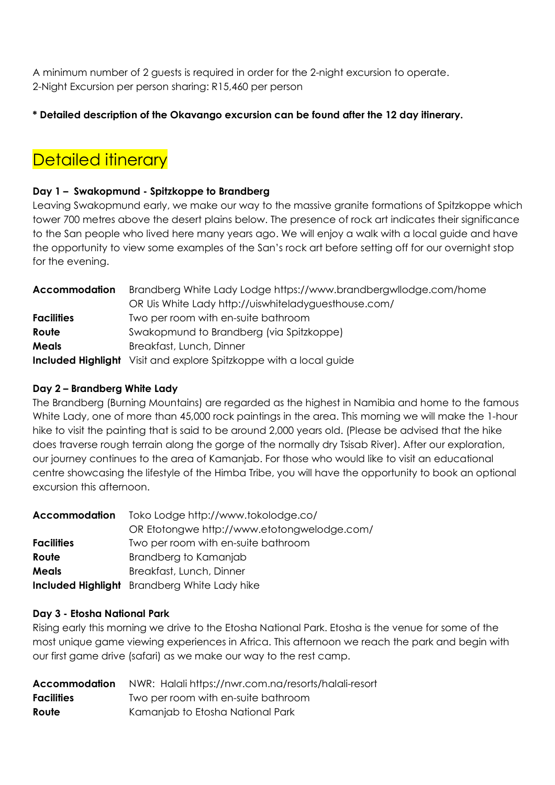A minimum number of 2 guests is required in order for the 2-night excursion to operate. 2-Night Excursion per person sharing: R15,460 per person

#### **\* Detailed description of the Okavango excursion can be found after the 12 day itinerary.**

### **Detailed itinerary**

#### **Day 1 – Swakopmund - Spitzkoppe to Brandberg**

Leaving Swakopmund early, we make our way to the massive granite formations of Spitzkoppe which tower 700 metres above the desert plains below. The presence of rock art indicates their significance to the San people who lived here many years ago. We will enjoy a walk with a local guide and have the opportunity to view some examples of the San's rock art before setting off for our overnight stop for the evening.

| <b>Accommodation</b> | Brandberg White Lady Lodge https://www.brandbergwllodge.com/home          |
|----------------------|---------------------------------------------------------------------------|
|                      | OR Uis White Lady http://uiswhiteladyguesthouse.com/                      |
| <b>Facilities</b>    | Two per room with en-suite bathroom                                       |
| Route                | Swakopmund to Brandberg (via Spitzkoppe)                                  |
| Meals                | Breakfast, Lunch, Dinner                                                  |
|                      | <b>Included Highlight</b> Visit and explore Spitzkoppe with a local guide |

#### **Day 2 – Brandberg White Lady**

The Brandberg (Burning Mountains) are regarded as the highest in Namibia and home to the famous White Lady, one of more than 45,000 rock paintings in the area. This morning we will make the 1-hour hike to visit the painting that is said to be around 2,000 years old. (Please be advised that the hike does traverse rough terrain along the gorge of the normally dry Tsisab River). After our exploration, our journey continues to the area of Kamanjab. For those who would like to visit an educational centre showcasing the lifestyle of the Himba Tribe, you will have the opportunity to book an optional excursion this afternoon.

| <b>Accommodation</b> | Toko Lodge http://www.tokolodge.co/                 |
|----------------------|-----------------------------------------------------|
|                      | OR Etotongwe http://www.etotongwelodge.com/         |
| <b>Facilities</b>    | Two per room with en-suite bathroom                 |
| Route                | Brandberg to Kamanjab                               |
| <b>Meals</b>         | Breakfast, Lunch, Dinner                            |
|                      | <b>Included Highlight</b> Brandberg White Lady hike |

#### **Day 3 - Etosha National Park**

Rising early this morning we drive to the Etosha National Park. Etosha is the venue for some of the most unique game viewing experiences in Africa. This afternoon we reach the park and begin with our first game drive (safari) as we make our way to the rest camp.

|                   | Accommodation NWR: Halali https://nwr.com.na/resorts/halali-resort |
|-------------------|--------------------------------------------------------------------|
| <b>Facilities</b> | Two per room with en-suite bathroom                                |
| Route             | Kamanjab to Etosha National Park                                   |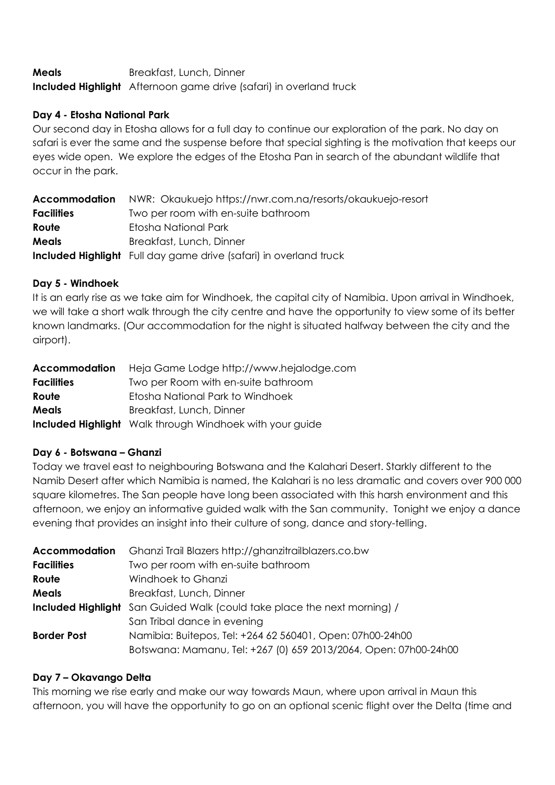**Meals** Breakfast, Lunch, Dinner **Included Highlight** Afternoon game drive (safari) in overland truck

#### **Day 4 - Etosha National Park**

Our second day in Etosha allows for a full day to continue our exploration of the park. No day on safari is ever the same and the suspense before that special sighting is the motivation that keeps our eyes wide open. We explore the edges of the Etosha Pan in search of the abundant wildlife that occur in the park.

| Accommodation     | NWR: Okaukuejo https://nwr.com.na/resorts/okaukuejo-resort               |
|-------------------|--------------------------------------------------------------------------|
| <b>Facilities</b> | Two per room with en-suite bathroom                                      |
| Route             | Etosha National Park                                                     |
| <b>Meals</b>      | Breakfast, Lunch, Dinner                                                 |
|                   | <b>Included Highlight</b> Full day game drive (safari) in overland truck |

#### **Day 5 - Windhoek**

It is an early rise as we take aim for Windhoek, the capital city of Namibia. Upon arrival in Windhoek, we will take a short walk through the city centre and have the opportunity to view some of its better known landmarks. (Our accommodation for the night is situated halfway between the city and the airport).

| Accommodation     | Heja Game Lodge http://www.hejalodge.com                        |
|-------------------|-----------------------------------------------------------------|
| <b>Facilities</b> | Two per Room with en-suite bathroom                             |
| Route             | Etosha National Park to Windhoek                                |
| <b>Meals</b>      | Breakfast, Lunch, Dinner                                        |
|                   | <b>Included Highlight</b> Walk through Windhoek with your guide |

#### **Day 6 - Botswana – Ghanzi**

Today we travel east to neighbouring Botswana and the Kalahari Desert. Starkly different to the Namib Desert after which Namibia is named, the Kalahari is no less dramatic and covers over 900 000 square kilometres. The San people have long been associated with this harsh environment and this afternoon, we enjoy an informative guided walk with the San community. Tonight we enjoy a dance evening that provides an insight into their culture of song, dance and story-telling.

| <b>Accommodation</b> | Ghanzi Trail Blazers http://ghanzitrailblazers.co.bw                     |
|----------------------|--------------------------------------------------------------------------|
| <b>Facilities</b>    | Two per room with en-suite bathroom                                      |
| Route                | Windhoek to Ghanzi                                                       |
| <b>Meals</b>         | Breakfast, Lunch, Dinner                                                 |
|                      | Included Highlight San Guided Walk (could take place the next morning) / |
|                      | San Tribal dance in evening                                              |
| <b>Border Post</b>   | Namibia: Buitepos, Tel: +264 62 560401, Open: 07h00-24h00                |
|                      | Botswana: Mamanu, Tel: +267 (0) 659 2013/2064, Open: 07h00-24h00         |

#### **Day 7 – Okavango Delta**

This morning we rise early and make our way towards Maun, where upon arrival in Maun this afternoon, you will have the opportunity to go on an optional scenic flight over the Delta (time and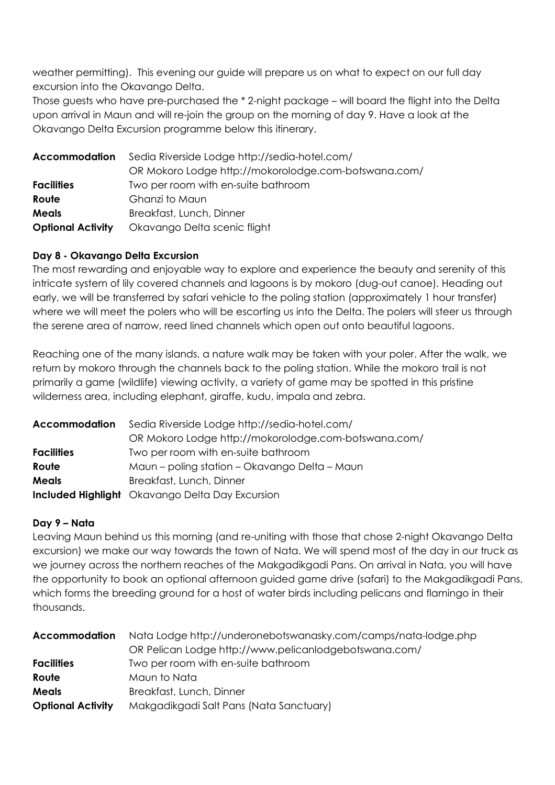weather permitting). This evening our guide will prepare us on what to expect on our full day excursion into the Okavango Delta.

Those guests who have pre-purchased the \* 2-night package – will board the flight into the Delta upon arrival in Maun and will re-join the group on the morning of day 9. Have a look at the Okavango Delta Excursion programme below this itinerary.

| Accommodation            | Sedia Riverside Lodge http://sedia-hotel.com/        |
|--------------------------|------------------------------------------------------|
|                          | OR Mokoro Lodge http://mokorolodge.com-botswana.com/ |
| <b>Facilities</b>        | Two per room with en-suite bathroom                  |
| Route                    | Ghanzi to Maun                                       |
| <b>Meals</b>             | Breakfast, Lunch, Dinner                             |
| <b>Optional Activity</b> | Okavango Delta scenic flight                         |

#### **Day 8 - Okavango Delta Excursion**

The most rewarding and enjoyable way to explore and experience the beauty and serenity of this intricate system of lily covered channels and lagoons is by mokoro (dug-out canoe). Heading out early, we will be transferred by safari vehicle to the poling station (approximately 1 hour transfer) where we will meet the polers who will be escorting us into the Delta. The polers will steer us through the serene area of narrow, reed lined channels which open out onto beautiful lagoons.

Reaching one of the many islands, a nature walk may be taken with your poler. After the walk, we return by mokoro through the channels back to the poling station. While the mokoro trail is not primarily a game (wildlife) viewing activity, a variety of game may be spotted in this pristine wilderness area, including elephant, giraffe, kudu, impala and zebra.

| <b>Accommodation</b> | Sedia Riverside Lodge http://sedia-hotel.com/          |
|----------------------|--------------------------------------------------------|
|                      | OR Mokoro Lodge http://mokorolodge.com-botswana.com/   |
| <b>Facilities</b>    | Two per room with en-suite bathroom                    |
| Route                | Maun – poling station – Okavango Delta – Maun          |
| <b>Meals</b>         | Breakfast, Lunch, Dinner                               |
|                      | <b>Included Highlight</b> Okavango Delta Day Excursion |

#### **Day 9 – Nata**

Leaving Maun behind us this morning (and re-uniting with those that chose 2-night Okavango Delta excursion) we make our way towards the town of Nata. We will spend most of the day in our truck as we journey across the northern reaches of the Makgadikgadi Pans. On arrival in Nata, you will have the opportunity to book an optional afternoon guided game drive (safari) to the Makgadikgadi Pans, which forms the breeding ground for a host of water birds including pelicans and flamingo in their thousands.

| <b>Accommodation</b>     | Nata Lodge http://underonebotswanasky.com/camps/nata-lodge.php |
|--------------------------|----------------------------------------------------------------|
|                          | OR Pelican Lodge http://www.pelicanlodgebotswana.com/          |
| <b>Facilities</b>        | Two per room with en-suite bathroom                            |
| Route                    | Maun to Nata                                                   |
| <b>Meals</b>             | Breakfast, Lunch, Dinner                                       |
| <b>Optional Activity</b> | Makgadikgadi Salt Pans (Nata Sanctuary)                        |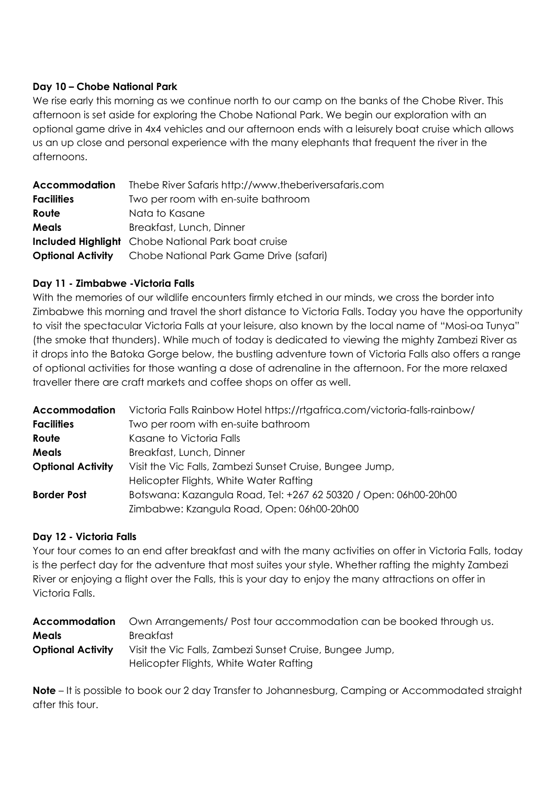#### **Day 10 – Chobe National Park**

We rise early this morning as we continue north to our camp on the banks of the Chobe River. This afternoon is set aside for exploring the Chobe National Park. We begin our exploration with an optional game drive in 4x4 vehicles and our afternoon ends with a leisurely boat cruise which allows us an up close and personal experience with the many elephants that frequent the river in the afternoons.

| <b>Accommodation</b> | Thebe River Safaris http://www.theberiversafaris.com             |
|----------------------|------------------------------------------------------------------|
| <b>Facilities</b>    | Two per room with en-suite bathroom                              |
| Route                | Nata to Kasane                                                   |
| <b>Meals</b>         | Breakfast, Lunch, Dinner                                         |
|                      | <b>Included Highlight</b> Chobe National Park boat cruise        |
|                      | <b>Optional Activity</b> Chobe National Park Game Drive (safari) |

#### **Day 11 - Zimbabwe -Victoria Falls**

With the memories of our wildlife encounters firmly etched in our minds, we cross the border into Zimbabwe this morning and travel the short distance to Victoria Falls. Today you have the opportunity to visit the spectacular Victoria Falls at your leisure, also known by the local name of "Mosi-oa Tunya" (the smoke that thunders). While much of today is dedicated to viewing the mighty Zambezi River as it drops into the Batoka Gorge below, the bustling adventure town of Victoria Falls also offers a range of optional activities for those wanting a dose of adrenaline in the afternoon. For the more relaxed traveller there are craft markets and coffee shops on offer as well.

| <b>Accommodation</b>     | Victoria Falls Rainbow Hotel https://rtgafrica.com/victoria-falls-rainbow/ |
|--------------------------|----------------------------------------------------------------------------|
| <b>Facilities</b>        | Two per room with en-suite bathroom                                        |
| Route                    | Kasane to Victoria Falls                                                   |
| <b>Meals</b>             | Breakfast, Lunch, Dinner                                                   |
| <b>Optional Activity</b> | Visit the Vic Falls, Zambezi Sunset Cruise, Bungee Jump,                   |
|                          | Helicopter Flights, White Water Rafting                                    |
| <b>Border Post</b>       | Botswana: Kazangula Road, Tel: +267 62 50320 / Open: 06h00-20h00           |
|                          | Zimbabwe: Kzangula Road, Open: 06h00-20h00                                 |

#### **Day 12 - Victoria Falls**

Your tour comes to an end after breakfast and with the many activities on offer in Victoria Falls, today is the perfect day for the adventure that most suites your style. Whether rafting the mighty Zambezi River or enjoying a flight over the Falls, this is your day to enjoy the many attractions on offer in Victoria Falls.

|                          | <b>Accommodation</b> Own Arrangements/ Post tour accommodation can be booked through us. |
|--------------------------|------------------------------------------------------------------------------------------|
| <b>Meals</b>             | Breakfast                                                                                |
| <b>Optional Activity</b> | Visit the Vic Falls, Zambezi Sunset Cruise, Bungee Jump,                                 |
|                          | Helicopter Flights, White Water Rafting                                                  |

**Note** – It is possible to book our 2 day Transfer to Johannesburg, Camping or Accommodated straight after this tour.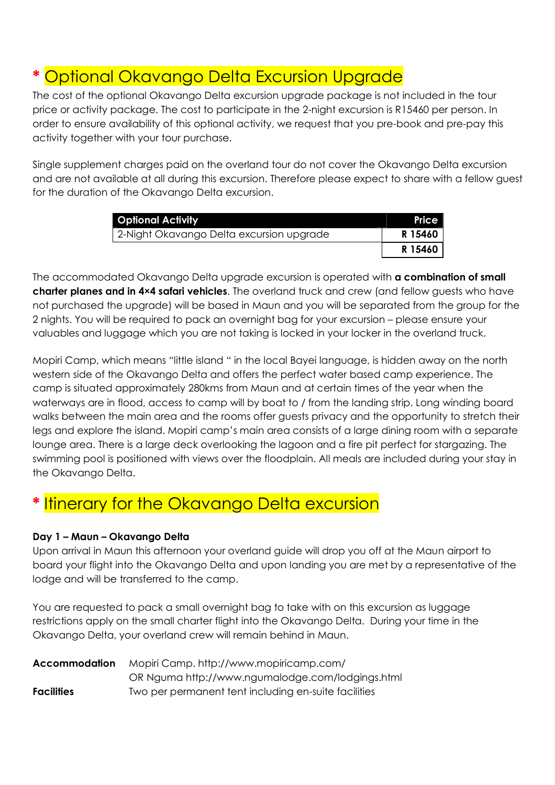# **Optional Okavango Delta Excursion Upgrade**

The cost of the optional Okavango Delta excursion upgrade package is not included in the tour price or activity package. The cost to participate in the 2-night excursion is R15460 per person. In order to ensure availability of this optional activity, we request that you pre-book and pre-pay this activity together with your tour purchase.

Single supplement charges paid on the overland tour do not cover the Okavango Delta excursion and are not available at all during this excursion. Therefore please expect to share with a fellow guest for the duration of the Okavango Delta excursion.

| <b>Optional Activity</b>                 | Price   |
|------------------------------------------|---------|
| 2-Night Okavango Delta excursion upgrade | R 15460 |
|                                          | R 15460 |

The accommodated Okavango Delta upgrade excursion is operated with **a combination of small charter planes and in 4×4 safari vehicles**. The overland truck and crew (and fellow guests who have not purchased the upgrade) will be based in Maun and you will be separated from the group for the 2 nights. You will be required to pack an overnight bag for your excursion – please ensure your valuables and luggage which you are not taking is locked in your locker in the overland truck.

Mopiri Camp, which means "little island " in the local Bayei language, is hidden away on the north western side of the Okavango Delta and offers the perfect water based camp experience. The camp is situated approximately 280kms from Maun and at certain times of the year when the waterways are in flood, access to camp will by boat to / from the landing strip. Long winding board walks between the main area and the rooms offer guests privacy and the opportunity to stretch their legs and explore the island. Mopiri camp's main area consists of a large dining room with a separate lounge area. There is a large deck overlooking the lagoon and a fire pit perfect for stargazing. The swimming pool is positioned with views over the floodplain. All meals are included during your stay in the Okavango Delta.

# **Itinerary for the Okavango Delta excursion**

#### **Day 1 – Maun – Okavango Delta**

Upon arrival in Maun this afternoon your overland guide will drop you off at the Maun airport to board your flight into the Okavango Delta and upon landing you are met by a representative of the lodge and will be transferred to the camp.

You are requested to pack a small overnight bag to take with on this excursion as luggage restrictions apply on the small charter flight into the Okavango Delta. During your time in the Okavango Delta, your overland crew will remain behind in Maun.

| Accommodation     | Mopiri Camp. http://www.mopiricamp.com/              |  |  |
|-------------------|------------------------------------------------------|--|--|
|                   | OR Nguma http://www.ngumalodge.com/lodgings.html     |  |  |
| <b>Facilities</b> | Two per permanent tent including en-suite facilities |  |  |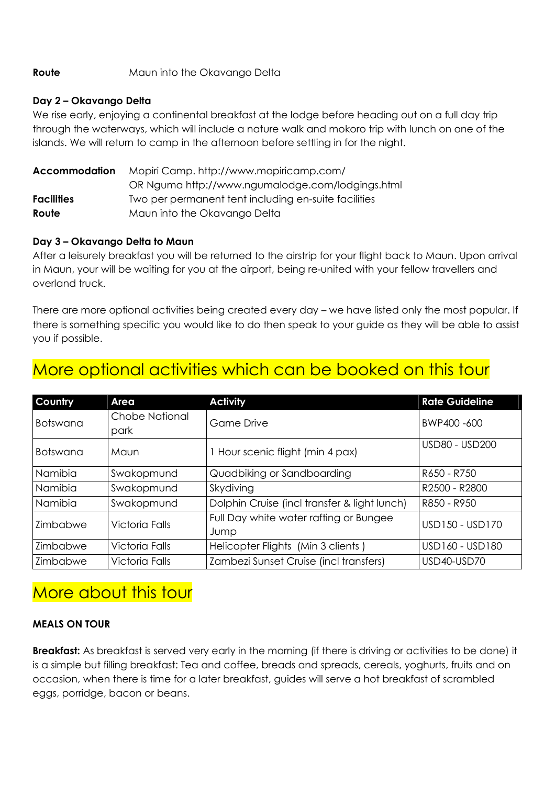#### **Route** Maun into the Okavango Delta

#### **Day 2 – Okavango Delta**

We rise early, enjoying a continental breakfast at the lodge before heading out on a full day trip through the waterways, which will include a nature walk and mokoro trip with lunch on one of the islands. We will return to camp in the afternoon before settling in for the night.

| <b>Accommodation</b> | Mopiri Camp. http://www.mopiricamp.com/              |  |  |
|----------------------|------------------------------------------------------|--|--|
|                      | OR Nguma http://www.ngumalodge.com/lodgings.html     |  |  |
| <b>Facilities</b>    | Two per permanent tent including en-suite facilities |  |  |
| Route                | Maun into the Okavango Delta                         |  |  |

#### **Day 3 – Okavango Delta to Maun**

After a leisurely breakfast you will be returned to the airstrip for your flight back to Maun. Upon arrival in Maun, your will be waiting for you at the airport, being re-united with your fellow travellers and overland truck.

There are more optional activities being created every day – we have listed only the most popular. If there is something specific you would like to do then speak to your guide as they will be able to assist you if possible.

| Country         | Area                  | <b>Activity</b>                              | <b>Rate Guideline</b> |
|-----------------|-----------------------|----------------------------------------------|-----------------------|
| <b>Botswana</b> | <b>Chobe National</b> | <b>Game Drive</b>                            | BWP400-600            |
|                 | park                  |                                              |                       |
| <b>Botswana</b> | Maun                  | 1 Hour scenic flight (min 4 pax)             | USD80 - USD200        |
| Namibia         | Swakopmund            | Quadbiking or Sandboarding                   | R650 - R750           |
| Namibia         | Swakopmund            | Skydiving                                    | R2500 - R2800         |
| Namibia         | Swakopmund            | Dolphin Cruise (incl transfer & light lunch) | R850 - R950           |
| Zimbabwe        | <b>Victoria Falls</b> | Full Day white water rafting or Bungee       | USD150 - USD170       |
|                 |                       | Jump                                         |                       |
| Zimbabwe        | <b>Victoria Falls</b> | Helicopter Flights (Min 3 clients)           | USD160 - USD180       |
| Zimbabwe        | <b>Victoria Falls</b> | Zambezi Sunset Cruise (incl transfers)       | USD40-USD70           |

### More optional activities which can be booked on this tour

### More about this tour

#### **MEALS ON TOUR**

**Breakfast:** As breakfast is served very early in the morning (if there is driving or activities to be done) it is a simple but filling breakfast: Tea and coffee, breads and spreads, cereals, yoghurts, fruits and on occasion, when there is time for a later breakfast, guides will serve a hot breakfast of scrambled eggs, porridge, bacon or beans.